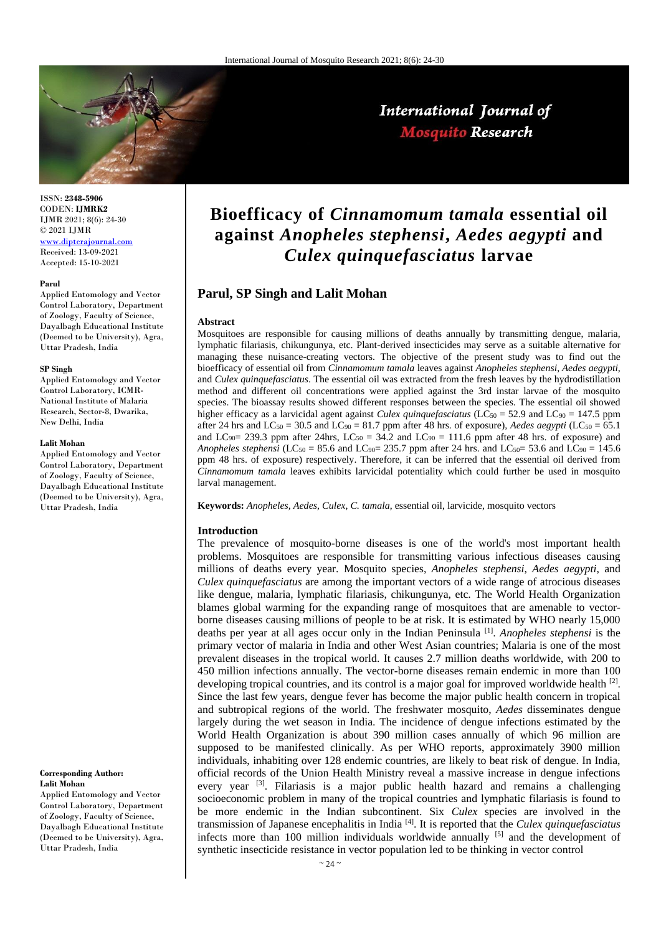

International Journal of **Mosquito Research** 

ISSN: **2348-5906** CODEN: **IJMRK2** IJMR 2021; 8(6): 24-30 © 2021 IJMR [www.dipterajournal.com](file://///server/d/Mosquito/Issue/8%20Volume/www.dipterajournal.com)

Received: 13-09-2021 Accepted: 15-10-2021

#### **Parul**

Applied Entomology and Vector Control Laboratory, Department of Zoology, Faculty of Science, Dayalbagh Educational Institute (Deemed to be University), Agra, Uttar Pradesh, India

#### **SP Singh**

Applied Entomology and Vector Control Laboratory, ICMR-National Institute of Malaria Research, Sector-8, Dwarika, New Delhi, India

#### **Lalit Mohan**

Applied Entomology and Vector Control Laboratory, Department of Zoology, Faculty of Science, Dayalbagh Educational Institute (Deemed to be University), Agra, Uttar Pradesh, India

#### **Corresponding Author: Lalit Mohan**

Applied Entomology and Vector Control Laboratory, Department of Zoology, Faculty of Science, Dayalbagh Educational Institute (Deemed to be University), Agra, Uttar Pradesh, India

# **Bioefficacy of** *Cinnamomum tamala* **essential oil against** *Anopheles stephensi***,** *Aedes aegypti* **and**  *Culex quinquefasciatus* **larvae**

## **Parul, SP Singh and Lalit Mohan**

#### **Abstract**

Mosquitoes are responsible for causing millions of deaths annually by transmitting dengue, malaria, lymphatic filariasis, chikungunya, etc. Plant-derived insecticides may serve as a suitable alternative for managing these nuisance-creating vectors. The objective of the present study was to find out the bioefficacy of essential oil from *Cinnamomum tamala* leaves against *Anopheles stephensi*, *Aedes aegypti,* and *Culex quinquefasciatus*. The essential oil was extracted from the fresh leaves by the hydrodistillation method and different oil concentrations were applied against the 3rd instar larvae of the mosquito species. The bioassay results showed different responses between the species. The essential oil showed higher efficacy as a larvicidal agent against *Culex quinquefasciatus* (LC<sub>50</sub> = 52.9 and LC<sub>90</sub> = 147.5 ppm after 24 hrs and  $LC_{50} = 30.5$  and  $LC_{90} = 81.7$  ppm after 48 hrs. of exposure), *Aedes aegypti*  $(LC_{50} = 65.1)$ and LC<sub>90</sub> = 239.3 ppm after 24hrs, LC<sub>50</sub> = 34.2 and LC<sub>90</sub> = 111.6 ppm after 48 hrs. of exposure) and *Anopheles stephensi* (LC<sub>50</sub> = 85.6 and LC<sub>90</sub>= 235.7 ppm after 24 hrs. and LC<sub>50</sub>= 53.6 and LC<sub>90</sub> = 145.6 ppm 48 hrs. of exposure) respectively. Therefore, it can be inferred that the essential oil derived from *Cinnamomum tamala* leaves exhibits larvicidal potentiality which could further be used in mosquito larval management.

**Keywords:** *Anopheles, Aedes*, *Culex, C. tamala*, essential oil, larvicide, mosquito vectors

#### **Introduction**

The prevalence of mosquito-borne diseases is one of the world's most important health problems. Mosquitoes are responsible for transmitting various infectious diseases causing millions of deaths every year. Mosquito species, *Anopheles stephensi*, *Aedes aegypti*, and *Culex quinquefasciatus* are among the important vectors of a wide range of atrocious diseases like dengue, malaria, lymphatic filariasis, chikungunya, etc. The World Health Organization blames global warming for the expanding range of mosquitoes that are amenable to vectorborne diseases causing millions of people to be at risk. It is estimated by WHO nearly 15,000 deaths per year at all ages occur only in the Indian Peninsula [1] . *Anopheles stephensi* is the primary vector of malaria in India and other West Asian countries; Malaria is one of the most prevalent diseases in the tropical world. It causes 2.7 million deaths worldwide, with 200 to 450 million infections annually. The vector-borne diseases remain endemic in more than 100 developing tropical countries, and its control is a major goal for improved worldwide health  $[2]$ . Since the last few years, dengue fever has become the major public health concern in tropical and subtropical regions of the world. The freshwater mosquito, *Aedes* disseminates dengue largely during the wet season in India. The incidence of dengue infections estimated by the World Health Organization is about 390 million cases annually of which 96 million are supposed to be manifested clinically. As per WHO reports, approximately 3900 million individuals, inhabiting over 128 endemic countries, are likely to beat risk of dengue. In India, official records of the Union Health Ministry reveal a massive increase in dengue infections every year [3]. Filariasis is a major public health hazard and remains a challenging socioeconomic problem in many of the tropical countries and lymphatic filariasis is found to be more endemic in the Indian subcontinent. Six *Culex* species are involved in the transmission of Japanese encephalitis in India [4]. It is reported that the *Culex quinquefasciatus* infects more than 100 million individuals worldwide annually  $[5]$  and the development of synthetic insecticide resistance in vector population led to be thinking in vector control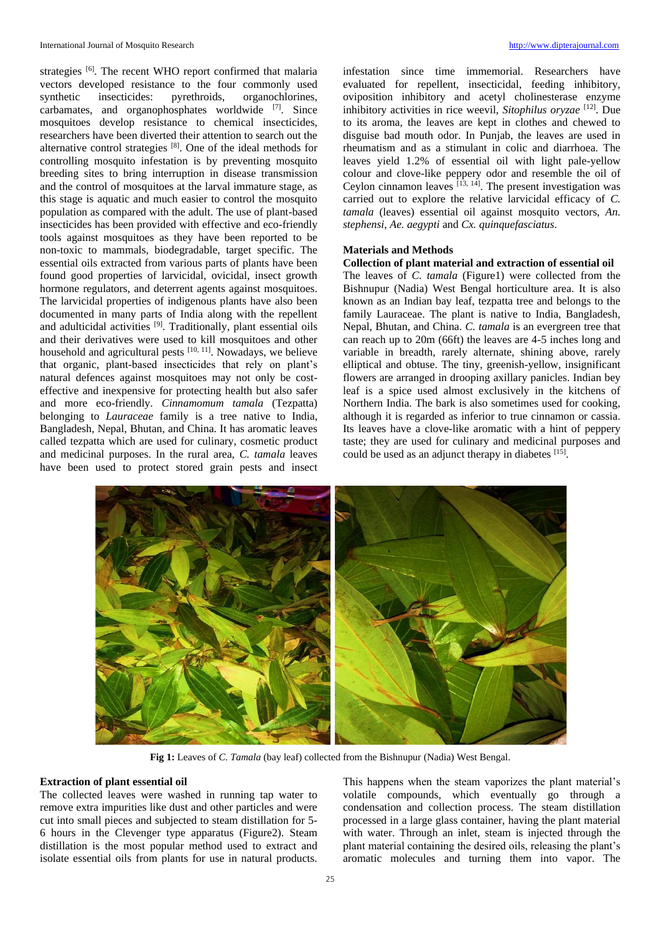strategies <sup>[6]</sup>. The recent WHO report confirmed that malaria vectors developed resistance to the four commonly used synthetic insecticides: pyrethroids, organochlorines, carbamates, and organophosphates worldwide [7]. Since mosquitoes develop resistance to chemical insecticides, researchers have been diverted their attention to search out the alternative control strategies [8]. One of the ideal methods for controlling mosquito infestation is by preventing mosquito breeding sites to bring interruption in disease transmission and the control of mosquitoes at the larval immature stage, as this stage is aquatic and much easier to control the mosquito population as compared with the adult. The use of plant-based insecticides has been provided with effective and eco-friendly tools against mosquitoes as they have been reported to be non-toxic to mammals, biodegradable, target specific. The essential oils extracted from various parts of plants have been found good properties of larvicidal, ovicidal, insect growth hormone regulators, and deterrent agents against mosquitoes. The larvicidal properties of indigenous plants have also been documented in many parts of India along with the repellent and adulticidal activities [9]. Traditionally, plant essential oils and their derivatives were used to kill mosquitoes and other household and agricultural pests <sup>[10, 11]</sup>. Nowadays, we believe that organic, plant-based insecticides that rely on plant's natural defences against mosquitoes may not only be costeffective and inexpensive for protecting health but also safer and more eco-friendly. *Cinnamomum tamala* (Tezpatta) belonging to *Lauraceae* family is a tree native to India, Bangladesh, Nepal, Bhutan, and China. It has aromatic leaves called tezpatta which are used for culinary, cosmetic product and medicinal purposes. In the rural area, *C. tamala* leaves have been used to protect stored grain pests and insect infestation since time immemorial. Researchers have evaluated for repellent, insecticidal, feeding inhibitory, oviposition inhibitory and acetyl cholinesterase enzyme inhibitory activities in rice weevil, *Sitophilus oryzae* [12]. Due to its aroma, the leaves are kept in clothes and chewed to disguise bad mouth odor. In Punjab, the leaves are used in rheumatism and as a stimulant in colic and diarrhoea. The leaves yield 1.2% of essential oil with light pale-yellow colour and clove-like peppery odor and resemble the oil of Ceylon cinnamon leaves  $\frac{1}{13}$ ,  $\frac{1}{14}$ . The present investigation was carried out to explore the relative larvicidal efficacy of *C. tamala* (leaves) essential oil against mosquito vectors, *An. stephensi*, *Ae. aegypti* and *Cx. quinquefasciatus*.

## **Materials and Methods**

## **Collection of plant material and extraction of essential oil**

The leaves of *C. tamala* (Figure1) were collected from the Bishnupur (Nadia) West Bengal horticulture area. It is also known as an Indian bay leaf, tezpatta tree and belongs to the family Lauraceae. The plant is native to India, Bangladesh, Nepal, Bhutan, and China. *C. tamala* is an evergreen tree that can reach up to 20m (66ft) the leaves are 4-5 inches long and variable in breadth, rarely alternate, shining above, rarely elliptical and obtuse. The tiny, greenish-yellow, insignificant flowers are arranged in drooping axillary panicles. Indian bey leaf is a spice used almost exclusively in the kitchens of Northern India. The bark is also sometimes used for cooking, although it is regarded as inferior to true cinnamon or cassia. Its leaves have a clove-like aromatic with a hint of peppery taste; they are used for culinary and medicinal purposes and could be used as an adjunct therapy in diabetes [15].



**Fig 1:** Leaves of *C. Tamala* (bay leaf) collected from the Bishnupur (Nadia) West Bengal.

### **Extraction of plant essential oil**

The collected leaves were washed in running tap water to remove extra impurities like dust and other particles and were cut into small pieces and subjected to steam distillation for 5- 6 hours in the Clevenger type apparatus (Figure2). Steam distillation is the most popular method used to extract and isolate essential oils from plants for use in natural products.

This happens when the steam vaporizes the plant material's volatile compounds, which eventually go through a condensation and collection process. The steam distillation processed in a large glass container, having the plant material with water. Through an inlet, steam is injected through the plant material containing the desired oils, releasing the plant's aromatic molecules and turning them into vapor. The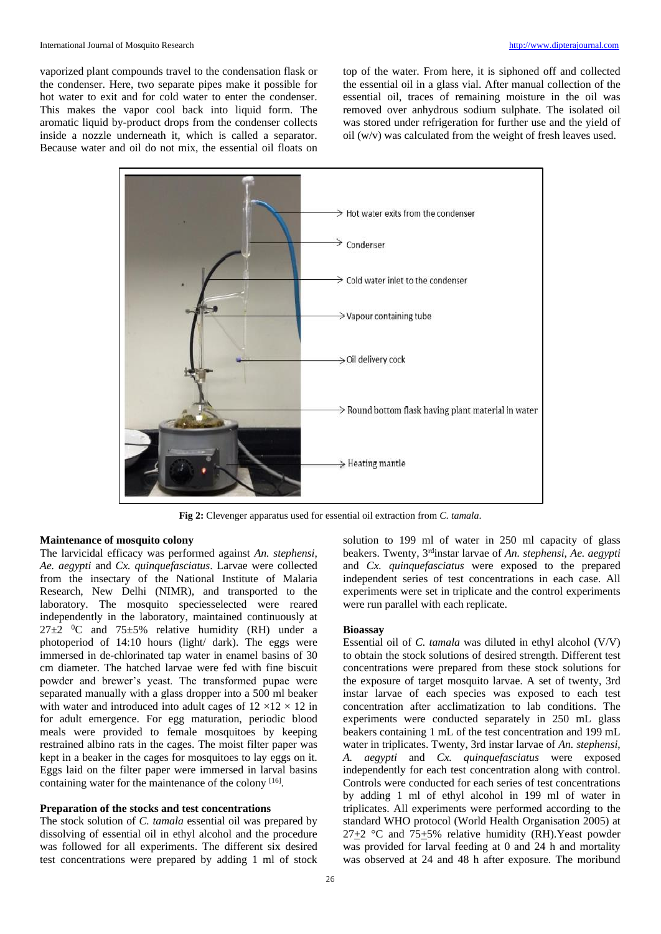vaporized plant compounds travel to the condensation flask or the condenser. Here, two separate pipes make it possible for hot water to exit and for cold water to enter the condenser. This makes the vapor cool back into liquid form. The aromatic liquid by-product drops from the condenser collects inside a nozzle underneath it, which is called a separator. Because water and oil do not mix, the essential oil floats on top of the water. From here, it is siphoned off and collected the essential oil in a glass vial. After manual collection of the essential oil, traces of remaining moisture in the oil was removed over anhydrous sodium sulphate. The isolated oil was stored under refrigeration for further use and the yield of oil (w/v) was calculated from the weight of fresh leaves used.



**Fig 2:** Clevenger apparatus used for essential oil extraction from *C. tamala*.

## **Maintenance of mosquito colony**

The larvicidal efficacy was performed against *An. stephensi*, *Ae. aegypti* and *Cx. quinquefasciatus*. Larvae were collected from the insectary of the National Institute of Malaria Research, New Delhi (NIMR), and transported to the laboratory. The mosquito speciesselected were reared independently in the laboratory, maintained continuously at  $27\pm2$  <sup>0</sup>C and 75 $\pm5\%$  relative humidity (RH) under a photoperiod of 14:10 hours (light/ dark). The eggs were immersed in de-chlorinated tap water in enamel basins of 30 cm diameter. The hatched larvae were fed with fine biscuit powder and brewer's yeast. The transformed pupae were separated manually with a glass dropper into a 500 ml beaker with water and introduced into adult cages of  $12 \times 12 \times 12$  in for adult emergence. For egg maturation, periodic blood meals were provided to female mosquitoes by keeping restrained albino rats in the cages. The moist filter paper was kept in a beaker in the cages for mosquitoes to lay eggs on it. Eggs laid on the filter paper were immersed in larval basins containing water for the maintenance of the colony [16].

#### **Preparation of the stocks and test concentrations**

The stock solution of *C. tamala* essential oil was prepared by dissolving of essential oil in ethyl alcohol and the procedure was followed for all experiments. The different six desired test concentrations were prepared by adding 1 ml of stock

solution to 199 ml of water in 250 ml capacity of glass beakers. Twenty, 3rdinstar larvae of *An. stephensi*, *Ae. aegypti*  and *Cx. quinquefasciatus* were exposed to the prepared independent series of test concentrations in each case. All experiments were set in triplicate and the control experiments were run parallel with each replicate.

#### **Bioassay**

Essential oil of *C. tamala* was diluted in ethyl alcohol (V/V) to obtain the stock solutions of desired strength. Different test concentrations were prepared from these stock solutions for the exposure of target mosquito larvae. A set of twenty, 3rd instar larvae of each species was exposed to each test concentration after acclimatization to lab conditions. The experiments were conducted separately in 250 mL glass beakers containing 1 mL of the test concentration and 199 mL water in triplicates. Twenty, 3rd instar larvae of *An. stephensi*, *A. aegypti* and *Cx. quinquefasciatus* were exposed independently for each test concentration along with control. Controls were conducted for each series of test concentrations by adding 1 ml of ethyl alcohol in 199 ml of water in triplicates. All experiments were performed according to the standard WHO protocol (World Health Organisation 2005) at  $27+2$  °C and  $75+5%$  relative humidity (RH). Yeast powder was provided for larval feeding at 0 and 24 h and mortality was observed at 24 and 48 h after exposure. The moribund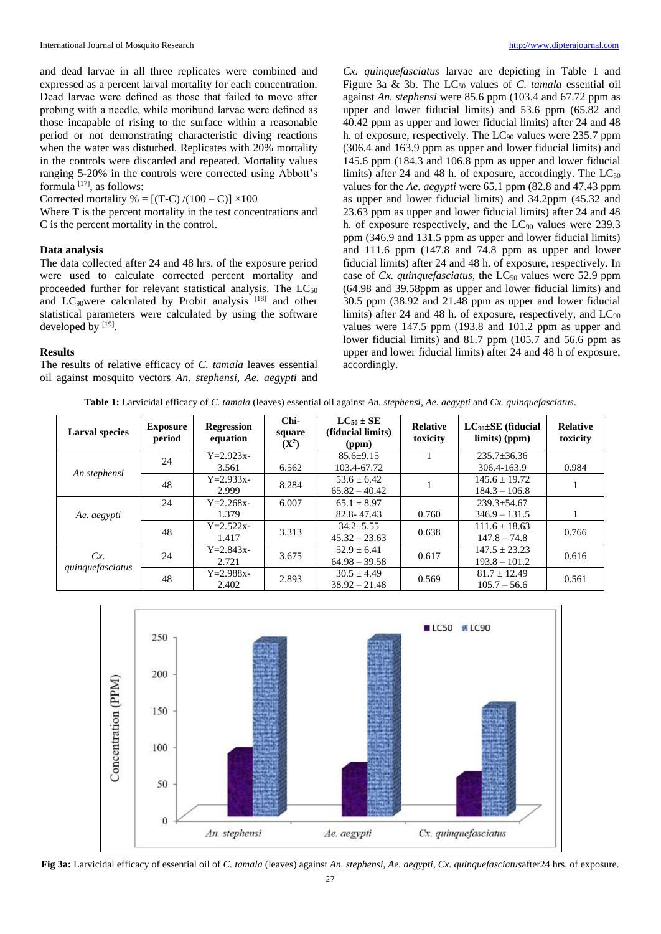and dead larvae in all three replicates were combined and expressed as a percent larval mortality for each concentration. Dead larvae were defined as those that failed to move after probing with a needle, while moribund larvae were defined as those incapable of rising to the surface within a reasonable period or not demonstrating characteristic diving reactions when the water was disturbed. Replicates with 20% mortality in the controls were discarded and repeated. Mortality values ranging 5-20% in the controls were corrected using Abbott's formula  $[17]$ , as follows:

Corrected mortality % =  $[(T-C)/(100-C)] \times 100$ 

Where T is the percent mortality in the test concentrations and C is the percent mortality in the control.

## **Data analysis**

The data collected after 24 and 48 hrs. of the exposure period were used to calculate corrected percent mortality and proceeded further for relevant statistical analysis. The  $LC_{50}$ and LC<sub>90</sub>were calculated by Probit analysis [18] and other statistical parameters were calculated by using the software developed by [19].

#### **Results**

The results of relative efficacy of *C. tamala* leaves essential oil against mosquito vectors *An. stephensi*, *Ae. aegypti* and

*Cx. quinquefasciatus* larvae are depicting in Table 1 and Figure 3a & 3b. The LC<sub>50</sub> values of *C. tamala* essential oil against *An. stephensi* were 85.6 ppm (103.4 and 67.72 ppm as upper and lower fiducial limits) and 53.6 ppm (65.82 and 40.42 ppm as upper and lower fiducial limits) after 24 and 48 h. of exposure, respectively. The  $LC_{90}$  values were 235.7 ppm (306.4 and 163.9 ppm as upper and lower fiducial limits) and 145.6 ppm (184.3 and 106.8 ppm as upper and lower fiducial limits) after 24 and 48 h. of exposure, accordingly. The  $LC_{50}$ values for the *Ae. aegypti* were 65.1 ppm (82.8 and 47.43 ppm as upper and lower fiducial limits) and 34.2ppm (45.32 and 23.63 ppm as upper and lower fiducial limits) after 24 and 48 h. of exposure respectively, and the  $LC_{90}$  values were 239.3 ppm (346.9 and 131.5 ppm as upper and lower fiducial limits) and 111.6 ppm (147.8 and 74.8 ppm as upper and lower fiducial limits) after 24 and 48 h. of exposure, respectively. In case of *Cx. quinquefasciatus*, the LC<sub>50</sub> values were 52.9 ppm (64.98 and 39.58ppm as upper and lower fiducial limits) and 30.5 ppm (38.92 and 21.48 ppm as upper and lower fiducial limits) after 24 and 48 h. of exposure, respectively, and  $LC_{90}$ values were 147.5 ppm (193.8 and 101.2 ppm as upper and lower fiducial limits) and 81.7 ppm (105.7 and 56.6 ppm as upper and lower fiducial limits) after 24 and 48 h of exposure, accordingly.

**Table 1:** Larvicidal efficacy of *C. tamala* (leaves) essential oil against *An. stephensi*, *Ae. aegypti* and *Cx. quinquefasciatus*.

| <b>Larval species</b>  | <b>Exposure</b><br>period | <b>Regression</b><br>equation | Chi-<br>square<br>$(X^2)$ | $LC_{50}$ $\pm$ SE<br>(fiducial limits)<br>(ppm) | <b>Relative</b><br>toxicity | $LC_{90} \pm SE$ (fiducial<br>$\lim$ its) (ppm) | <b>Relative</b><br>toxicity |
|------------------------|---------------------------|-------------------------------|---------------------------|--------------------------------------------------|-----------------------------|-------------------------------------------------|-----------------------------|
| An.stephensi           | 24                        | $Y = 2.923x -$                |                           | $85.6 \pm 9.15$                                  |                             | $235.7 \pm 36.36$                               |                             |
|                        |                           | 3.561                         | 6.562                     | 103.4-67.72                                      |                             | 306.4-163.9                                     | 0.984                       |
|                        | 48                        | $Y = 2.933x -$                | 8.284                     | $53.6 \pm 6.42$                                  |                             | $145.6 \pm 19.72$                               |                             |
|                        |                           | 2.999                         |                           | $65.82 - 40.42$                                  |                             | $184.3 - 106.8$                                 |                             |
| Ae. aegypti            | 24                        | $Y = 2.268x -$                | 6.007                     | $65.1 \pm 8.97$                                  |                             | $239.3 \pm 54.67$                               |                             |
|                        |                           | 1.379                         |                           | 82.8-47.43                                       | 0.760                       | $346.9 - 131.5$                                 |                             |
|                        | 48                        | $Y = 2.522x -$                | 3.313                     | $34.2 + 5.55$                                    | 0.638                       | $111.6 \pm 18.63$                               | 0.766                       |
|                        |                           | 1.417                         |                           | $45.32 - 23.63$                                  |                             | $147.8 - 74.8$                                  |                             |
| Cx<br>quinquefasciatus | 24                        | $Y = 2.843x -$                | 3.675                     | $52.9 \pm 6.41$                                  | 0.617                       | $147.5 \pm 23.23$                               | 0.616                       |
|                        |                           | 2.721                         |                           | $64.98 - 39.58$                                  |                             | $193.8 - 101.2$                                 |                             |
|                        | 48                        | $Y = 2.988x -$                | 2.893                     | $30.5 \pm 4.49$                                  | 0.569                       | $81.7 \pm 12.49$                                | 0.561                       |
|                        |                           | 2.402                         |                           | $38.92 - 21.48$                                  |                             | $105.7 - 56.6$                                  |                             |



**Fig 3a:** Larvicidal efficacy of essential oil of *C. tamala* (leaves) against *An. stephensi, Ae. aegypti, Cx. quinquefasciatus*after24 hrs. of exposure.

 $27$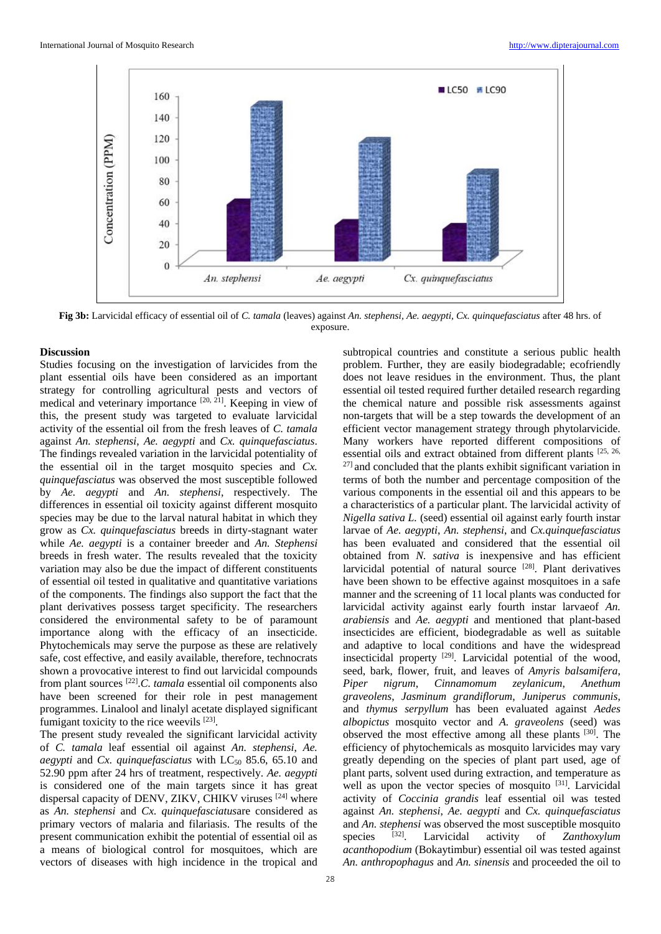

**Fig 3b:** Larvicidal efficacy of essential oil of *C. tamala* (leaves) against *An. stephensi, Ae. aegypti, Cx. quinquefasciatus* after 48 hrs. of exposure.

#### **Discussion**

Studies focusing on the investigation of larvicides from the plant essential oils have been considered as an important strategy for controlling agricultural pests and vectors of medical and veterinary importance [20, 21]. Keeping in view of this, the present study was targeted to evaluate larvicidal activity of the essential oil from the fresh leaves of *C. tamala* against *An. stephensi*, *Ae. aegypti* and *Cx. quinquefasciatus*. The findings revealed variation in the larvicidal potentiality of the essential oil in the target mosquito species and *Cx. quinquefasciatus* was observed the most susceptible followed by *Ae. aegypti* and *An. stephensi*, respectively. The differences in essential oil toxicity against different mosquito species may be due to the larval natural habitat in which they grow as *Cx. quinquefasciatus* breeds in dirty-stagnant water while *Ae. aegypti* is a container breeder and *An. Stephensi*  breeds in fresh water. The results revealed that the toxicity variation may also be due the impact of different constituents of essential oil tested in qualitative and quantitative variations of the components. The findings also support the fact that the plant derivatives possess target specificity. The researchers considered the environmental safety to be of paramount importance along with the efficacy of an insecticide. Phytochemicals may serve the purpose as these are relatively safe, cost effective, and easily available, therefore, technocrats shown a provocative interest to find out larvicidal compounds from plant sources [22] .*C. tamala* essential oil components also have been screened for their role in pest management programmes. Linalool and linalyl acetate displayed significant fumigant toxicity to the rice weevils [23].

The present study revealed the significant larvicidal activity of *C. tamala* leaf essential oil against *An. stephensi*, *Ae. aegypti* and *Cx. quinquefasciatus* with LC<sub>50</sub> 85.6, 65.10 and 52.90 ppm after 24 hrs of treatment, respectively. *Ae. aegypti* is considered one of the main targets since it has great dispersal capacity of DENV, ZIKV, CHIKV viruses [24] where as *An. stephensi* and *Cx. quinquefasciatus*are considered as primary vectors of malaria and filariasis. The results of the present communication exhibit the potential of essential oil as a means of biological control for mosquitoes, which are vectors of diseases with high incidence in the tropical and

subtropical countries and constitute a serious public health problem. Further, they are easily biodegradable; ecofriendly does not leave residues in the environment. Thus, the plant essential oil tested required further detailed research regarding the chemical nature and possible risk assessments against non-targets that will be a step towards the development of an efficient vector management strategy through phytolarvicide. Many workers have reported different compositions of essential oils and extract obtained from different plants [25, 26,  $27$ ] and concluded that the plants exhibit significant variation in terms of both the number and percentage composition of the various components in the essential oil and this appears to be a characteristics of a particular plant. The larvicidal activity of *Nigella sativa L.* (seed) essential oil against early fourth instar larvae of *Ae. aegypti*, *An. stephensi*, and *Cx.quinquefasciatus*  has been evaluated and considered that the essential oil obtained from *N. sativa* is inexpensive and has efficient larvicidal potential of natural source [28]. Plant derivatives have been shown to be effective against mosquitoes in a safe manner and the screening of 11 local plants was conducted for larvicidal activity against early fourth instar larvaeof *An. arabiensis* and *Ae. aegypti* and mentioned that plant-based insecticides are efficient, biodegradable as well as suitable and adaptive to local conditions and have the widespread insecticidal property [29]. Larvicidal potential of the wood, seed, bark, flower, fruit, and leaves of *Amyris balsamifera*, *Piper nigrum*, *Cinnamomum zeylanicum*, *Anethum graveolens*, *Jasminum grandiflorum*, *Juniperus communis*, and *thymus serpyllum* has been evaluated against *Aedes albopictus* mosquito vector and *A. graveolens* (seed) was observed the most effective among all these plants [30]. The efficiency of phytochemicals as mosquito larvicides may vary greatly depending on the species of plant part used, age of plant parts, solvent used during extraction, and temperature as well as upon the vector species of mosquito [31]. Larvicidal activity of *Coccinia grandis* leaf essential oil was tested against *An. stephensi*, *Ae. aegypti* and *Cx. quinquefasciatus* and *An. stephensi* was observed the most susceptible mosquito species  $[32]$ . . Larvicidal activity of *Zanthoxylum acanthopodium* (Bokaytimbur) essential oil was tested against *An. anthropophagus* and *An. sinensis* and proceeded the oil to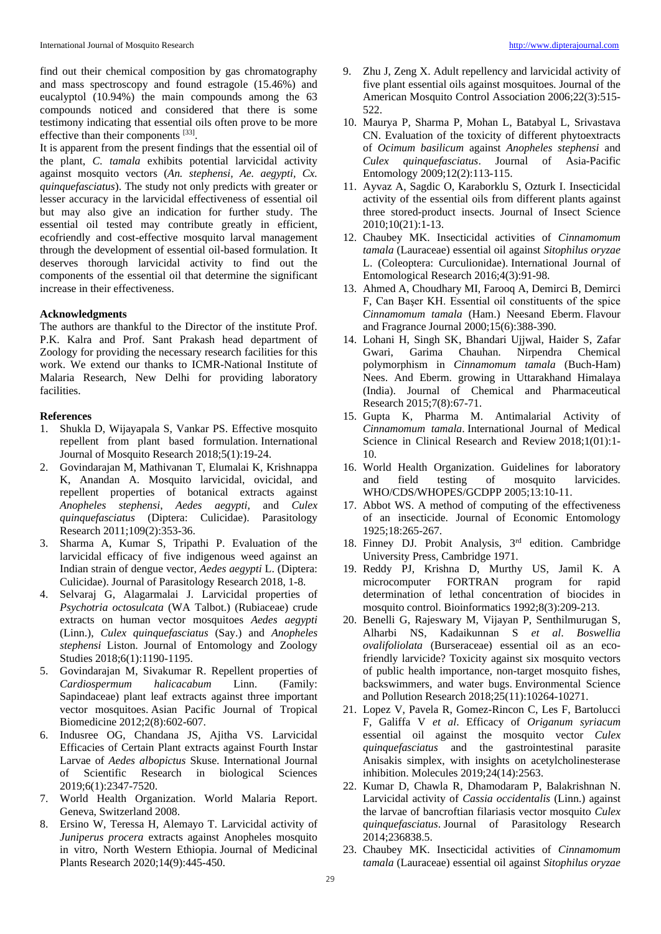find out their chemical composition by gas chromatography and mass spectroscopy and found estragole (15.46%) and eucalyptol (10.94%) the main compounds among the 63 compounds noticed and considered that there is some testimony indicating that essential oils often prove to be more effective than their components [33].

It is apparent from the present findings that the essential oil of the plant, *C. tamala* exhibits potential larvicidal activity against mosquito vectors (*An. stephensi, Ae. aegypti, Cx. quinquefasciatus*). The study not only predicts with greater or lesser accuracy in the larvicidal effectiveness of essential oil but may also give an indication for further study. The essential oil tested may contribute greatly in efficient, ecofriendly and cost-effective mosquito larval management through the development of essential oil-based formulation. It deserves thorough larvicidal activity to find out the components of the essential oil that determine the significant increase in their effectiveness.

### **Acknowledgments**

The authors are thankful to the Director of the institute Prof. P.K. Kalra and Prof. Sant Prakash head department of Zoology for providing the necessary research facilities for this work. We extend our thanks to ICMR-National Institute of Malaria Research, New Delhi for providing laboratory facilities.

#### **References**

- 1. Shukla D, Wijayapala S, Vankar PS. Effective mosquito repellent from plant based formulation. International Journal of Mosquito Research 2018;5(1):19-24.
- 2. Govindarajan M, Mathivanan T, Elumalai K, Krishnappa K, Anandan A. Mosquito larvicidal, ovicidal, and repellent properties of botanical extracts against *Anopheles stephensi*, *Aedes aegypti*, and *Culex quinquefasciatus* (Diptera: Culicidae). Parasitology Research 2011;109(2):353-36.
- 3. Sharma A, Kumar S, Tripathi P. Evaluation of the larvicidal efficacy of five indigenous weed against an Indian strain of dengue vector, *Aedes aegypti* L. (Diptera: Culicidae). Journal of Parasitology Research 2018, 1-8.
- 4. Selvaraj G, Alagarmalai J. Larvicidal properties of *Psychotria octosulcata* (WA Talbot.) (Rubiaceae) crude extracts on human vector mosquitoes *Aedes aegypti* (Linn.), *Culex quinquefasciatus* (Say.) and *Anopheles stephensi* Liston. Journal of Entomology and Zoology Studies 2018;6(1):1190-1195.
- 5. Govindarajan M, Sivakumar R. Repellent properties of *Cardiospermum halicacabum* Linn. (Family: Sapindaceae) plant leaf extracts against three important vector mosquitoes. Asian Pacific Journal of Tropical Biomedicine 2012;2(8):602-607.
- 6. Indusree OG, Chandana JS, Ajitha VS. Larvicidal Efficacies of Certain Plant extracts against Fourth Instar Larvae of *Aedes albopictus* Skuse. International Journal of Scientific Research in biological Sciences 2019;6(1):2347-7520.
- 7. World Health Organization. World Malaria Report. Geneva, Switzerland 2008.
- 8. Ersino W, Teressa H, Alemayo T. Larvicidal activity of *Juniperus procera* extracts against Anopheles mosquito in vitro, North Western Ethiopia. Journal of Medicinal Plants Research 2020;14(9):445-450.
- 9. Zhu J, Zeng X. Adult repellency and larvicidal activity of five plant essential oils against mosquitoes. Journal of the American Mosquito Control Association 2006;22(3):515- 522.
- 10. Maurya P, Sharma P, Mohan L, Batabyal L, Srivastava CN. Evaluation of the toxicity of different phytoextracts of *Ocimum basilicum* against *Anopheles stephensi* and *Culex quinquefasciatus*. Journal of Asia-Pacific Entomology 2009;12(2):113-115.
- 11. Ayvaz A, Sagdic O, Karaborklu S, Ozturk I. Insecticidal activity of the essential oils from different plants against three stored-product insects. Journal of Insect Science 2010;10(21):1-13.
- 12. Chaubey MK. Insecticidal activities of *Cinnamomum tamala* (Lauraceae) essential oil against *Sitophilus oryzae* L. (Coleoptera: Curculionidae). International Journal of Entomological Research 2016;4(3):91-98.
- 13. Ahmed A, Choudhary MI, Farooq A, Demirci B, Demirci F, Can Başer KH. Essential oil constituents of the spice *Cinnamomum tamala* (Ham.) Neesand Eberm. Flavour and Fragrance Journal 2000;15(6):388-390.
- 14. Lohani H, Singh SK, Bhandari Ujjwal, Haider S, Zafar Gwari, Garima Chauhan. Nirpendra Chemical polymorphism in *Cinnamomum tamala* (Buch-Ham) Nees. And Eberm. growing in Uttarakhand Himalaya (India). Journal of Chemical and Pharmaceutical Research 2015;7(8):67-71.
- 15. Gupta K, Pharma M. Antimalarial Activity of *Cinnamomum tamala*. International Journal of Medical Science in Clinical Research and Review 2018;1(01):1- 10.
- 16. World Health Organization. Guidelines for laboratory and field testing of mosquito larvicides. WHO/CDS/WHOPES/GCDPP 2005;13:10-11.
- 17. Abbot WS. A method of computing of the effectiveness of an insecticide. Journal of Economic Entomology 1925;18:265-267.
- 18. Finney DJ. Probit Analysis, 3rd edition. Cambridge University Press, Cambridge 1971.
- 19. Reddy PJ, Krishna D, Murthy US, Jamil K. A microcomputer FORTRAN program for rapid determination of lethal concentration of biocides in mosquito control. Bioinformatics 1992;8(3):209-213.
- 20. Benelli G, Rajeswary M, Vijayan P, Senthilmurugan S, Alharbi NS, Kadaikunnan S *et al*. *Boswellia ovalifoliolata* (Burseraceae) essential oil as an ecofriendly larvicide? Toxicity against six mosquito vectors of public health importance, non-target mosquito fishes, backswimmers, and water bugs. Environmental Science and Pollution Research 2018;25(11):10264-10271.
- 21. Lopez V, Pavela R, Gomez-Rincon C, Les F, Bartolucci F, Galiffa V *et al*. Efficacy of *Origanum syriacum* essential oil against the mosquito vector *Culex quinquefasciatus* and the gastrointestinal parasite Anisakis simplex, with insights on acetylcholinesterase inhibition. Molecules 2019;24(14):2563.
- 22. Kumar D, Chawla R, Dhamodaram P, Balakrishnan N. Larvicidal activity of *Cassia occidentalis* (Linn.) against the larvae of bancroftian filariasis vector mosquito *Culex quinquefasciatus*. Journal of Parasitology Research 2014;236838.5.
- 23. Chaubey MK. Insecticidal activities of *Cinnamomum tamala* (Lauraceae) essential oil against *Sitophilus oryzae*